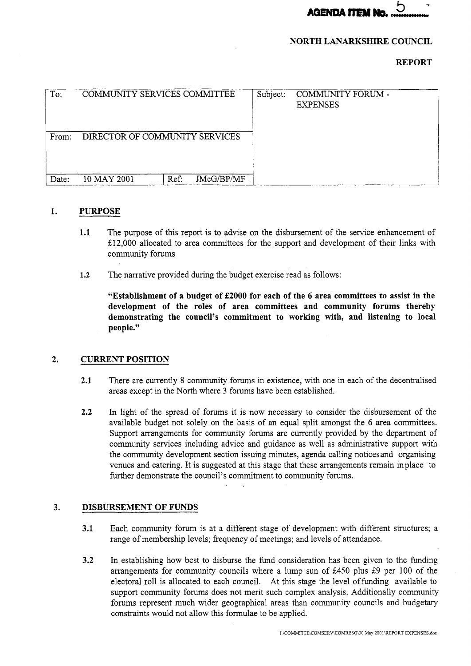

## **NORTH LANARKSHIRE COUNCIL**

## **REPORT**

| To:   | COMMUNITY SERVICES COMMITTEE   |      | Subject:   | COMMUNITY FORUM -<br><b>EXPENSES</b> |  |
|-------|--------------------------------|------|------------|--------------------------------------|--|
| From: | DIRECTOR OF COMMUNITY SERVICES |      |            |                                      |  |
| Date: | 10 MAY 2001                    | Ref. | JMcG/BP/MF |                                      |  |

## **1. PURPOSE**

- **1.1** The purpose of this report is to advise on the disbursement of the service enhancement of E12,OOO allocated to area committees for the support and development of their links with community forums
- **1.2** The narrative provided during the budget exercise read as follows:

**"Establishment of a budget of 22000 for each of the 6 area committees to assist in the development of the roles of area committees and community forums thereby demonstrating the council's commitment to working with, and listening to local peopie."** 

## **2. CURRENT POSITION**

- **2.1** There are currently **8** community forums in existence, with one in each of the decentralised areas except in the North where 3 forums have been established.
- **2.2** In light of the spread of forums it is now necessary to consider the disbursement of the available budget not solely on the basis of an equal split amongst the 6 area committees. Support arrangements for community forums are currently provided by the department of community services including advice and guidance as well as administrative support with the community development section issuing minutes, agenda calling notices and organising venues and catering. It is suggested at this stage that these arrangements remain inplace to further demonstrate the council's commitment to community forums.

# **3. DISBURSEMENT OF FUNDS**

- **3.1** Each community forum is at a different stage of development with different structures; a range of membership levels; frequency of meetings; and levels of attendance.
- **3.2** In establishing how best to disburse the fund consideration has been given to the funding arrangements for community councils where a lump sun of 5450 plus E9 per 100 of the electoral roll is allocated to each council. At this stage the level offunding available to support community forums does not merit such complex analysis. Additionally community forums represent much wider geographical areas than community councils and budgetary constraints would not allow this formulae to be applied.